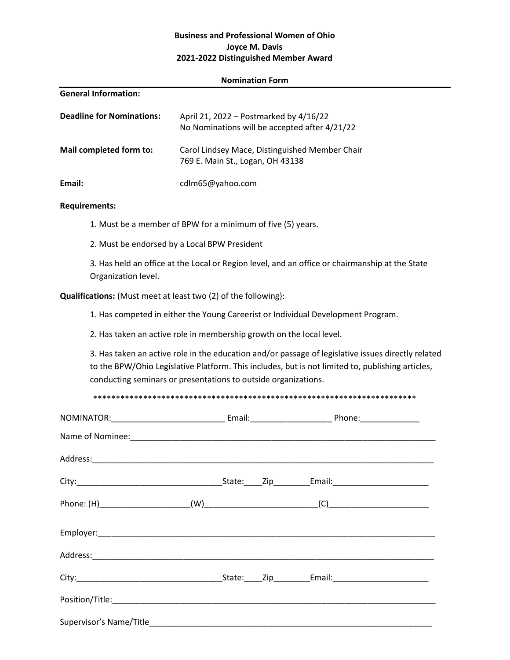## Business and Professional Women of Ohio Joyce M. Davis 202**1**-202**2** Distinguished Member Award

#### Nomination Form

| <b>General Information:</b>      |                                                                                         |
|----------------------------------|-----------------------------------------------------------------------------------------|
| <b>Deadline for Nominations:</b> | April 21, 2022 – Postmarked by 4/16/22<br>No Nominations will be accepted after 4/21/22 |
| Mail completed form to:          | Carol Lindsey Mace, Distinguished Member Chair<br>769 E. Main St., Logan, OH 43138      |
| Email:                           | cdlm65@yahoo.com                                                                        |

#### Requirements:

1. Must be a member of BPW for a minimum of five (5) years.

2. Must be endorsed by a Local BPW President

3. Has held an office at the Local or Region level, and an office or chairmanship at the State Organization level.

Qualifications: (Must meet at least two (2) of the following}:

1. Has competed in either the Young Careerist or Individual Development Program.

2. Has taken an active role in membership growth on the local level.

3. Has taken an active role in the education and/or passage of legislative issues directly related to the BPW/Ohio Legislative Platform. This includes, but is not limited to, publishing articles, conducting seminars or presentations to outside organizations.

\*\*\*\*\*\*\*\*\*\*\*\*\*\*\*\*\*\*\*\*\*\*\*\*\*\*\*\*\*\*\*\*\*\*\*\*\*\*\*\*\*\*\*\*\*\*\*\*\*\*\*\*\*\*\*\*\*\*\*\*\*\*\*\*\*\*\*\*\*\*\*